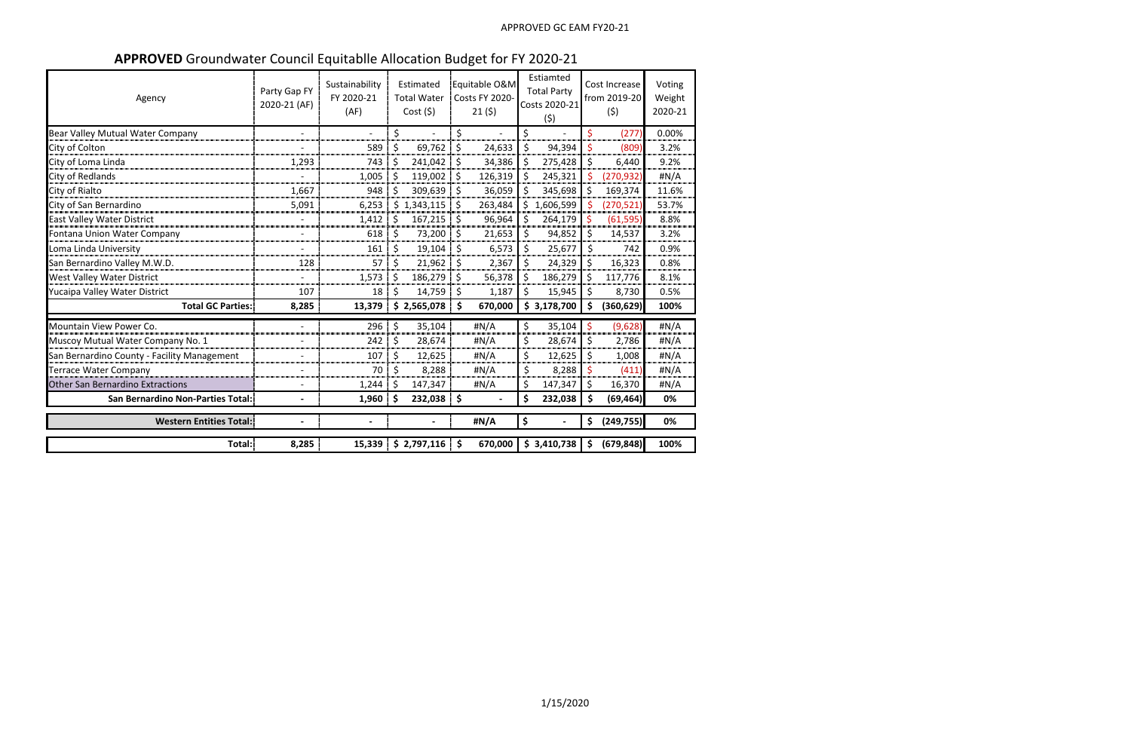**APPROVED** Groundwater Council Equitablle Allocation Budget for FY 2020-21

| Agency                                      | Party Gap FY<br>2020-21 (AF) | Sustainability<br>FY 2020-21<br>(AF) |         | Estimated<br><b>Total Water</b><br>Cost(5) | Equitable O&M<br><b>Costs FY 2020-</b><br>21(5) |    | Estiamted<br><b>Total Party</b><br>Costs 2020-21<br>(5) |                    | Cost Increase<br>from 2019-20<br>(5) | Voting<br>Weight<br>2020-21 |
|---------------------------------------------|------------------------------|--------------------------------------|---------|--------------------------------------------|-------------------------------------------------|----|---------------------------------------------------------|--------------------|--------------------------------------|-----------------------------|
| Bear Valley Mutual Water Company            | $\overline{a}$               |                                      | \$      |                                            | \$                                              | \$ |                                                         | $\mathsf{\hat{S}}$ | (277)                                | 0.00%                       |
| City of Colton                              |                              | 589                                  | \$      | 69,762                                     | \$<br>24,633                                    | \$ | 94,394                                                  | $\mathsf{\hat{S}}$ | (809)                                | 3.2%                        |
| City of Loma Linda                          | 1,293                        | 743                                  | $\zeta$ | 241,042                                    | \$<br>34,386                                    | \$ | 275,428                                                 | $\zeta$            | 6,440                                | 9.2%                        |
| City of Redlands                            |                              | 1,005                                | \$      | 119,002                                    | \$<br>126,319                                   | \$ | 245,321                                                 | Ś                  | (270, 932)                           | #N/A                        |
| City of Rialto                              | 1,667                        | 948                                  | \$      | 309,639                                    | \$<br>36,059                                    | \$ | 345,698                                                 | \$                 | 169,374                              | 11.6%                       |
| City of San Bernardino                      | 5,091                        | 6,253                                |         | \$1,343,115                                | \$<br>263,484                                   | \$ | 1,606,599                                               | \$                 | (270, 521)                           | 53.7%                       |
| East Valley Water District                  |                              | 1,412                                | $\zeta$ | 167,215                                    | \$<br>96,964                                    | \$ | 264,179                                                 | $\zeta$            | (61, 595)                            | 8.8%                        |
| Fontana Union Water Company                 | $\overline{\phantom{0}}$     | 618                                  | $\zeta$ | 73,200                                     | \$<br>21,653                                    | \$ | 94,852                                                  | $\zeta$            | 14,537                               | 3.2%                        |
| Loma Linda University                       |                              | 161                                  | \$      | 19,104                                     | \$<br>6,573                                     | \$ | 25,677                                                  | \$                 | 742                                  | 0.9%                        |
| San Bernardino Valley M.W.D.                | 128                          | 57                                   | \$      | 21,962                                     | \$<br>2,367                                     | \$ | 24,329                                                  | \$                 | 16,323                               | 0.8%                        |
| West Valley Water District                  |                              | 1,573                                | \$      | 186,279                                    | \$<br>56,378                                    | \$ | 186,279                                                 | \$                 | 117,776                              | 8.1%                        |
| Yucaipa Valley Water District               | 107                          | 18                                   | \$      | 14,759                                     | \$<br>1,187                                     | Ś. | 15,945                                                  | \$                 | 8,730                                | 0.5%                        |
| <b>Total GC Parties:</b>                    | 8,285                        | 13,379                               |         | \$2,565,078                                | \$<br>670,000                                   | \$ | 3,178,700                                               | \$                 | (360, 629)                           | 100%                        |
| Mountain View Power Co.                     | $\overline{a}$               | 296                                  | \$      | 35,104                                     | #N/A                                            | \$ | 35,104                                                  | $\ddot{\varsigma}$ | (9,628)                              | #N/A                        |
| Muscoy Mutual Water Company No. 1           |                              | 242                                  | \$      | 28,674                                     | #N/A                                            | \$ | 28,674                                                  | $\zeta$            | 2,786                                | #N/A                        |
| San Bernardino County - Facility Management |                              | 107                                  | \$      | 12,625                                     | H N/A                                           | \$ | 12,625                                                  | \$                 | 1,008                                | #N/A                        |
| Terrace Water Company                       | $\overline{\phantom{a}}$     | 70                                   | \$      | 8,288                                      | #N/A                                            | \$ | 8,288                                                   | \$                 | (411)                                | #N/A                        |
| <b>Other San Bernardino Extractions</b>     |                              | 1,244                                | \$      | 147,347                                    | #N/A                                            | Ś. | 147,347                                                 | $\zeta$            | 16,370                               | #N/A                        |
| San Bernardino Non-Parties Total:           | $\blacksquare$               | 1,960                                | \$      | 232,038 \$                                 |                                                 | \$ | 232,038                                                 | $\zeta$            | (69, 464)                            | 0%                          |
| <b>Western Entities Total:</b>              |                              |                                      |         |                                            | #N/A                                            | \$ |                                                         | \$                 | (249, 755)                           | 0%                          |
| Total:                                      | 8,285                        |                                      |         | $15,339$   \$ 2,797,116   \$               | 670,000                                         |    | \$3,410,738                                             | -\$                | (679, 848)                           | 100%                        |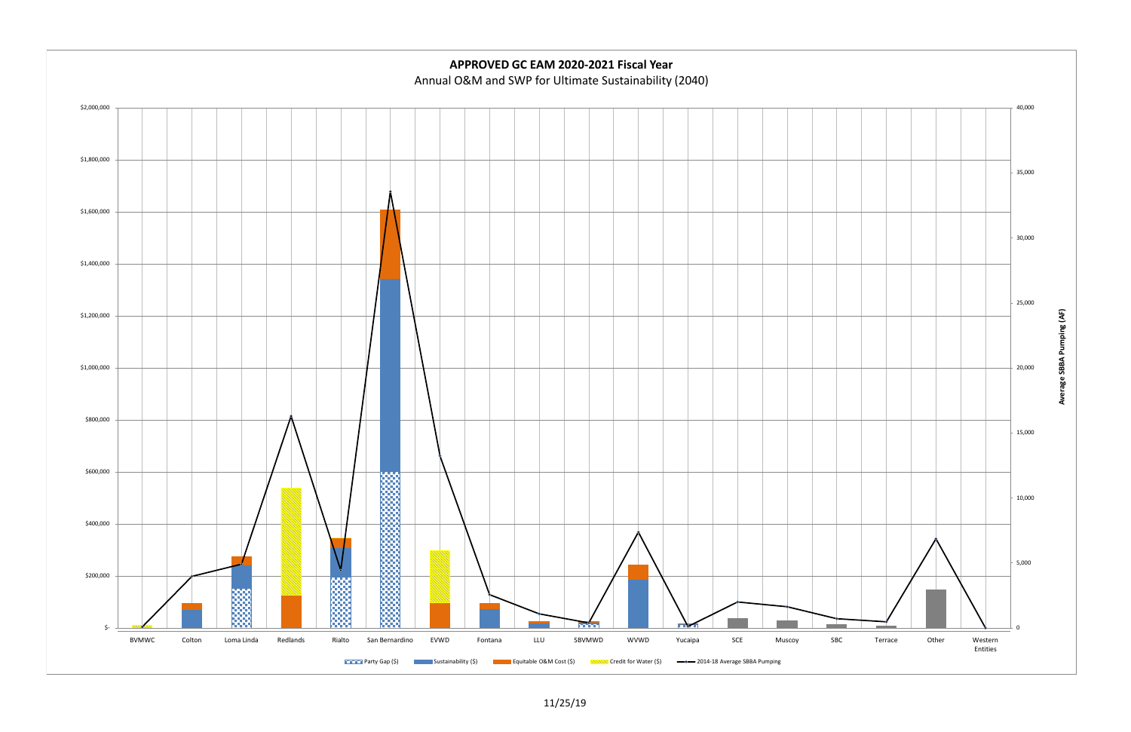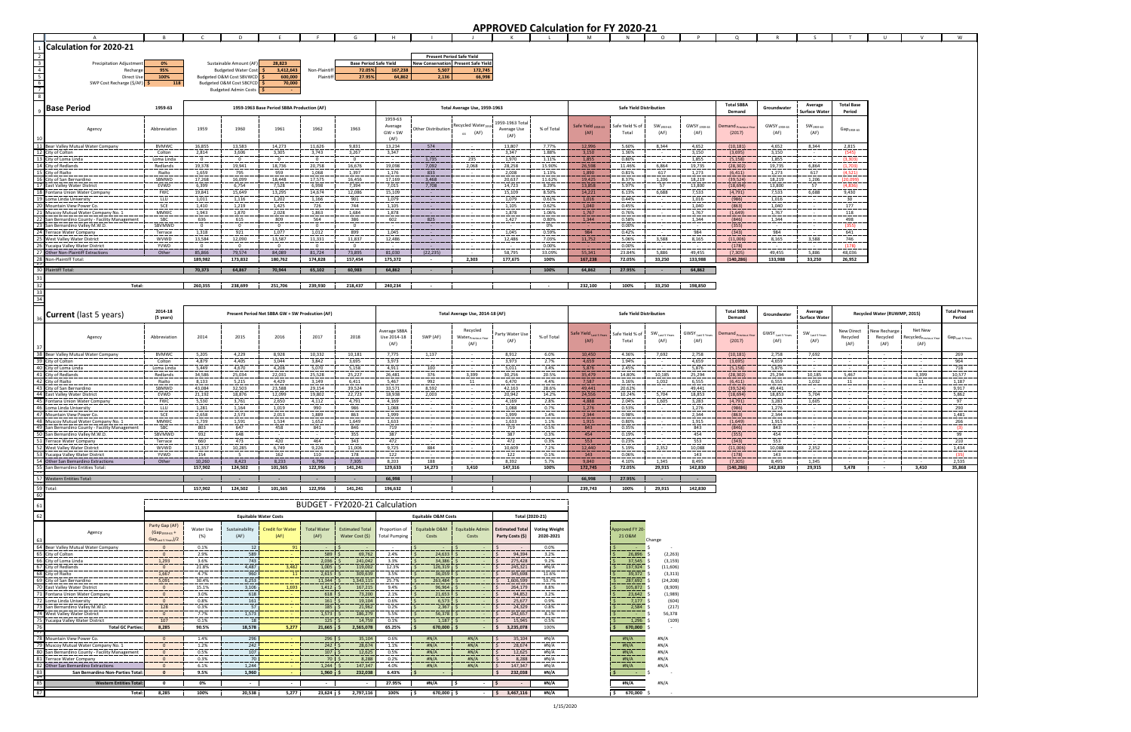|                         |                                                                                        |                                                              |                          |                                                           |                                                 |                                       |                                |                             |                                       |                                                                 |                        |                      | <b>APPROVED Calculation for FY 2020-21</b> |                                |                                       |                                         |                               |                                         |                                              |                        |                                 |                                        |                                           |
|-------------------------|----------------------------------------------------------------------------------------|--------------------------------------------------------------|--------------------------|-----------------------------------------------------------|-------------------------------------------------|---------------------------------------|--------------------------------|-----------------------------|---------------------------------------|-----------------------------------------------------------------|------------------------|----------------------|--------------------------------------------|--------------------------------|---------------------------------------|-----------------------------------------|-------------------------------|-----------------------------------------|----------------------------------------------|------------------------|---------------------------------|----------------------------------------|-------------------------------------------|
|                         | 1 Calculation for 2020-21                                                              | $\overline{R}$                                               |                          | D                                                         | E                                               |                                       | G                              | H                           |                                       |                                                                 |                        |                      |                                            |                                | $\circ$                               | <b>P</b>                                | Q                             |                                         |                                              |                        | U                               | V                                      | W                                         |
|                         |                                                                                        |                                                              |                          |                                                           |                                                 |                                       |                                |                             |                                       | <b>Present Period Safe Yield</b>                                |                        |                      |                                            |                                |                                       |                                         |                               |                                         |                                              |                        |                                 |                                        |                                           |
| $\overline{\mathbf{3}}$ | Precipitation Adjustmen                                                                | 0%                                                           |                          | Sustainable Amount (AF                                    | 28,823                                          |                                       | <b>Base Period Safe Yield</b>  |                             |                                       | New Conservation Present Safe Yield                             |                        |                      |                                            |                                |                                       |                                         |                               |                                         |                                              |                        |                                 |                                        |                                           |
|                         | Recharge<br>Direct Use                                                                 | 95%<br>100%                                                  |                          | <b>Budgeted Water Cost</b><br>Budgeted O&M Cost SBVWCD \$ | 3,412,643<br>600,000                            | Non-Plaintiff<br>Plaintiff            | 72.05%<br>27.95%               | 167,238<br>64,862           | 5,507<br>2,136                        | 172,745<br>66,998                                               |                        |                      |                                            |                                |                                       |                                         |                               |                                         |                                              |                        |                                 |                                        |                                           |
|                         | SWP Cost Recharge (\$/AF) \$                                                           | 118                                                          |                          | Budgeted O&M Cost SBCFCD \$                               | 70,000                                          |                                       |                                |                             |                                       |                                                                 |                        |                      |                                            |                                |                                       |                                         |                               |                                         |                                              |                        |                                 |                                        |                                           |
|                         |                                                                                        |                                                              |                          | <b>Budgeted Admin Costs</b>                               |                                                 |                                       |                                |                             |                                       |                                                                 |                        |                      |                                            |                                |                                       |                                         |                               |                                         |                                              |                        |                                 |                                        |                                           |
|                         |                                                                                        |                                                              |                          |                                                           |                                                 |                                       |                                |                             |                                       |                                                                 |                        |                      |                                            |                                |                                       |                                         | <b>Total SBBA</b>             |                                         | Average                                      | <b>Total Base</b>      |                                 |                                        |                                           |
|                         | <b>Base Period</b>                                                                     | 1959-63                                                      |                          |                                                           | 1959-1963 Base Period SBBA Production (AF)      |                                       |                                |                             |                                       | Total Average Use, 1959-1963                                    |                        |                      |                                            | <b>Safe Yield Distribution</b> |                                       |                                         | Demand                        | Groundwater                             | <b>Surface Water</b>                         | Period                 |                                 |                                        |                                           |
|                         |                                                                                        |                                                              |                          |                                                           |                                                 |                                       |                                | 1959-63<br>Average          |                                       | Recycled Water <sub>195</sub>                                   | 1959-1963 Total        |                      | Safe Yield <sub>1959-63</sub>              | Safe Yield % of                | $SW1959-63$                           | GWSY <sub>1959-63</sub>                 | Jemand <sub>Previous Yr</sub> | GWSY <sub>1959-63</sub>                 | $\mathsf{SW}_{\mathsf{1959}\text{-63}}$      |                        |                                 |                                        |                                           |
|                         | Agency                                                                                 | Abbreviation                                                 | 1959                     | 1960                                                      | 1961                                            | 1962                                  | 1963                           | $GW + SW$                   | Other Distribution                    | $_{63}$ (AF)                                                    | Average Use<br>(AF)    | % of Total           | (AF)                                       | Total                          | (AF)                                  | (AF)                                    | (2017)                        | (AF)                                    | (AF)                                         | $Gap_{1959-63}$        |                                 |                                        |                                           |
|                         | 11 Bear Valley Mutual Water Company                                                    | <b>BVMWC</b>                                                 | 16,855                   | 13,583                                                    | 14,273                                          | 11,626                                | 9,831                          | (AF)<br>13,234              | 574                                   |                                                                 | 13,807                 | 7.77%                | 12,996                                     | 5.60%                          | 8,344                                 | 4,652                                   | (10, 181)                     | 4,652                                   | 8,344                                        | 2,815                  |                                 |                                        |                                           |
|                         | 12 City of Colton                                                                      | Colton                                                       | 2,814                    | 3,606                                                     | 3,305                                           | 3,743                                 | 3,267                          | 3,347                       |                                       | $\sim$                                                          | 3,347                  | 1.88%                | 3,150                                      | 1.36%                          |                                       | 3,150                                   | (3,695)                       | 3,150                                   |                                              | (545)                  |                                 |                                        |                                           |
|                         | 13 City of Loma Linda                                                                  | Loma Linda                                                   | $\Omega$                 | $\mathbf{0}$                                              | $\Omega$                                        | $\overline{0}$                        | $\Omega$                       |                             | 1,735                                 | 235                                                             | 1,970                  | 1.11%                | 1,855                                      | 0.80%                          |                                       | 1,855                                   | (5, 158)                      | 1,855                                   |                                              | (3,303)                |                                 |                                        |                                           |
|                         | 14 City of Redlands<br>15 City of Rialto                                               | Redlands<br>Rialto                                           | 19,378<br>1,659          | 19,941<br>795                                             | 18,736<br>959                                   | 20,758<br>1,068                       | 16,676<br>1,397                | 19,098<br>1,176             | 7,092<br>833                          | 2,068                                                           | 28,258<br>2,008        | 15.90%<br>1.13%      | 26,598<br>1,890                            | 11.46%<br>0.81%                | 6,864<br>617                          | 19,735<br>1,273                         | (28, 302)<br>(6, 411)         | 19,735<br>1,273                         | 6,864<br>617                                 | (1,703)<br>(4.521)     |                                 |                                        |                                           |
|                         | 16 City of San Bernardino                                                              | SBMWD                                                        | 17,268                   | 16,099                                                    | 18,448                                          | 17,575                                | 16,456                         | 17,169                      | 3,468                                 | .                                                               | 20,637                 | 11.62%               | 19,425                                     | 8.37%                          | 1,206                                 | 18,219                                  | (39, 524)                     | 18,219                                  | 1,206                                        | (20,099)               |                                 |                                        |                                           |
|                         | 17 East Valley Water District<br>18 Fontana Union Water Company                        | EVWD<br><b>FWC</b>                                           | 6,399<br>19,841          | 6,754<br>15,649                                           | 7,528<br>13,295                                 | 6,998<br>14,674                       | 7,394<br>12,086                | 7,015<br>15,109             | 7,708                                 |                                                                 | 14,723<br>15,109       | 8.29%<br>8.50%       | 13,858<br>14,221                           | 5.97%<br>6.13%                 | 57<br>6,688                           | 13,800<br>7,533                         | (18, 694)<br>(4, 791)         | 13,800<br>7,533                         | 57<br>6,688                                  | (4,836)<br>9,430       |                                 |                                        |                                           |
|                         | 19 Loma Linda University                                                               | LLU                                                          | 1,011                    | 1,116                                                     | 1,202                                           | 1,166                                 | 901                            | 1,079                       | $\sim$                                | $\sim$                                                          | 1,079                  | 0.61%                | 1,016                                      | 0.44%                          |                                       | 1,016                                   | (986)                         | 1,016                                   | $\sim$                                       | 30                     |                                 |                                        |                                           |
|                         | 20 Mountain View Power Co<br>21 Muscoy Mutual Water Company No. 1                      | SCE<br>MMWC                                                  | 1,410<br>1,943           | 1,219<br>1,870                                            | 1,425<br>2,028                                  | 726<br>1,863                          | 744<br>1,684                   | 1,105<br>1,878              | $\sim 10^{-1}$                        |                                                                 | 1,105<br>1,878         | 0.62%<br>1.06%       | 1,040<br>1,767                             | 0.45%<br>0.76%                 |                                       | 1,040<br>1,767                          | (863)<br>(1,649)              | 1,040<br>1,767                          |                                              | 177<br>118             |                                 |                                        |                                           |
|                         | 22 San Bernardino County - Facility Management                                         | SBC                                                          | 636                      | 615                                                       | 809                                             | 564                                   | 386                            | 602                         | 825                                   | $\sim$                                                          | 1,427                  | 0.80%                | 1,344                                      | 0.58%                          |                                       | 1,344                                   | (846)                         | 1,344                                   | $\sim$                                       | 498                    |                                 |                                        |                                           |
|                         | 23 San Bernardino Valley M.W.D<br>24 Terrace Water Company                             | SBVMWD<br>Terrace                                            | $\Omega$<br>1,318        | $\mathbf{0}$<br>921                                       | $\overline{0}$<br>1,077                         | $\overline{0}$<br>1,012               | $\Omega$<br>899                | 1,045                       |                                       | $\sim$<br>$\sim$                                                | 1,045                  | 0%<br>0.59%          | 984                                        | 0.00%<br>0.42%                 |                                       | 984                                     | (355)<br>(343)                | 984                                     |                                              | (355)<br>641           |                                 |                                        |                                           |
|                         | 25 West Valley Water District                                                          | <b>WVWD</b>                                                  | 13,584                   | 12,090                                                    | 13,587                                          | 11,331                                | 11,837                         | 12,486                      | $\sim$ $-$                            |                                                                 | 12,486                 | 7.03%                | 11,752                                     | 5.06%                          | 3,588                                 | 8,165                                   | (11,006)                      | 8,165                                   | 3,588                                        | 746                    |                                 |                                        |                                           |
|                         | 26 Yucaipa Valley Water District<br>27 Other Non-Plaintiff Extractions                 | YVWD<br>Other                                                | $\overline{0}$<br>85,866 | $\mathbf{0}$<br>79,574                                    | $\overline{0}$<br>84,089                        | $\overline{0}$<br>81,724              | $\overline{0}$<br>73,895       | 81,030                      | (22, 235)                             |                                                                 | 58,795                 | 0.00%<br>33.09%      | 55,341                                     | 0.00%<br>23.84%                | 5,886                                 | 49,455                                  | (178)<br>(7,305)              | 49,455                                  | 5,886                                        | (178)<br>48,036        |                                 |                                        |                                           |
|                         | 28 Non-Plaintiff Total:                                                                |                                                              | 189,982                  | 173,832                                                   | 180,762                                         | 174,828                               | 157,454                        | 175,372                     |                                       | 2,303                                                           | 177,675                | 100%                 | 167,238                                    | 72.05%                         | 33,250                                | 133,988                                 | (140, 286)                    | 133,988                                 | 33,250                                       | 26,952                 |                                 |                                        |                                           |
| रम                      | 30 Plaintiff Total                                                                     |                                                              | 70,373                   | 64,867                                                    | 70,944                                          | 65,102                                | 60,983                         | 64,862                      |                                       |                                                                 |                        | 100%                 | 64,862                                     | 27.95%                         |                                       | 64,862                                  |                               |                                         |                                              |                        |                                 |                                        |                                           |
| 31                      |                                                                                        |                                                              |                          |                                                           |                                                 |                                       |                                |                             |                                       |                                                                 |                        |                      |                                            |                                |                                       |                                         |                               |                                         |                                              |                        |                                 |                                        |                                           |
| 32<br>33                | Total:                                                                                 |                                                              | 260,355                  | 238,699                                                   | 251,706                                         | 239,930                               | 218,437                        | 240,234                     |                                       |                                                                 |                        |                      | 232,100                                    | 100%                           | 33,250                                | 198,850                                 |                               |                                         |                                              |                        |                                 |                                        |                                           |
| 34                      |                                                                                        |                                                              |                          |                                                           |                                                 |                                       |                                |                             |                                       |                                                                 |                        |                      |                                            |                                |                                       |                                         |                               |                                         |                                              |                        |                                 |                                        |                                           |
|                         | Current (last 5 years)                                                                 | 2014-18                                                      |                          |                                                           | Present Period Net SBBA GW + SW Prodcution (AF) |                                       |                                |                             |                                       | Total Average Use, 2014-18 (AF)                                 |                        |                      |                                            | <b>Safe Yield Distribution</b> |                                       |                                         | <b>Total SBBA</b>             | Groundwater                             | Average                                      |                        | Recycled Water (RUWMP, 2015)    |                                        | <b>Total Present</b>                      |
|                         |                                                                                        | (5 years)                                                    |                          |                                                           |                                                 |                                       |                                |                             |                                       |                                                                 |                        |                      |                                            |                                |                                       |                                         | Demand                        |                                         | <b>Surface Water</b>                         |                        |                                 |                                        | Period                                    |
|                         | Agency                                                                                 | Abbreviation                                                 | 2014                     | 2015                                                      | 2016                                            | 2017                                  | 2018                           | Average SBBA<br>Use 2014-18 | SWP (AF)                              | Recycled<br>$\mathsf{Water}_{\mathsf{Previous}\; \mathsf{Yee}}$ | Party Water Use        | % of Total           | afe Yield <sub>Last 5 Year:</sub>          | Safe Yield % of                | $\mathsf{SW}_\mathsf{Last\,5\,years}$ | $\mathsf{GWSY}_\mathsf{Last\,5\,years}$ | Demand <sub>Previous</sub> Y  | $\mathsf{GWSY}_\mathsf{Last\,5\,years}$ | $\textsf{SW}\xspace_{\textsf{Last 5 Years}}$ | New Direct<br>Recycled | <b>Vew Recharge</b><br>Recycled | Net New<br>ecycled <sub>Previous</sub> | $\mathsf{Gap}_{\mathsf{Last\ 5\, years}}$ |
|                         |                                                                                        |                                                              |                          |                                                           |                                                 |                                       |                                | (AF)                        |                                       | (AF)                                                            | (AF)                   |                      | (AF)                                       | Total                          | (AF)                                  | (AF)                                    | (2017)                        | (AF)                                    | (AF)                                         | (AF)                   | (AF)                            | (AF)                                   |                                           |
|                         | 38 Bear Valley Mutual Water Company                                                    | <b>BVMWC</b>                                                 | 5,205                    | 4,229                                                     | 8,928                                           | 10,332                                | 10,181                         | 7,775                       | 1,137                                 |                                                                 | 8,912                  | 6.0%                 | 10,450                                     | 4.36%                          | 7,692                                 | 2,758                                   | (10, 181)                     | 2,758                                   | 7,692                                        |                        |                                 |                                        | 269                                       |
|                         | 39 City of Colton                                                                      | Colton                                                       | 4,879                    | 4,405                                                     | 3,044                                           | 3,842                                 | 3,695                          | 3,973                       |                                       |                                                                 | 3,973                  | 2.7%                 | 4,659                                      | 1.94%                          |                                       | 4,659                                   | (3,695)                       | 4,659                                   |                                              |                        |                                 |                                        | 964                                       |
|                         | 40 City of Loma Linda<br>41 City of Redlands                                           | Loma Linda<br>Redlands                                       | 5,449<br>34,586          | 4,670<br>25,034                                           | 4,208<br>22,031                                 | 5,070<br>25,528                       | 5,158<br>25,227                | 4,911<br>26,481             | 100<br>376                            | 3,399                                                           | 5,011<br>30,256        | 3.4%<br>20.5%        | 5,876<br>35,479                            | 2.45%<br>14.80%                | 10,185                                | 5,876<br>25,294                         | (5, 158)<br>(28, 302)         | 5,876<br>25,294                         | 10,185                                       | 5,467                  | $\sim$                          | 3,399                                  | 718<br>10,577                             |
|                         | 42 City of Rialto                                                                      | Rialto                                                       | 8,133                    | 5,215                                                     | 4,429                                           | 3,149                                 | 6,411                          | 5,467                       | 992                                   | 11                                                              | 6,470                  | 4.4%                 | 7,587                                      | 3.16%                          | 1,032                                 | 6,555                                   | (6, 411)                      | 6,555                                   | 1,032                                        | 11                     |                                 | 11                                     | 1,187                                     |
|                         | 43 City of San Bernardino<br>44 East Valley Water District                             | SBMWD<br>EVWD                                                | 43,084<br>21,192         | 32,503<br>18,876                                          | 23,588<br>12,099                                | 29,154<br>19,802                      | 39,524<br>22,723               | 33,571<br>18,938            | 8,592<br>2,003                        | $\sim$                                                          | 42,163<br>20,942       | 28.6%<br>14.2%       | 49,441<br>24,556                           | 20.62%<br>10.24%               | 5,704                                 | 49,441<br>18,853                        | (39, 524)<br>(18, 694)        | 49,441<br>18,853                        | 5,704                                        |                        |                                 |                                        | 9,917<br>5,862                            |
|                         | 45 Fontana Union Water Company                                                         | <b>FWC</b>                                                   | 5,530                    | 3,761                                                     | 2,650                                           | 4,112                                 | 4,791                          | 4,169                       |                                       | $\sim$ $-$                                                      | 4,169                  | 2.8%                 | 4,888                                      | 2.04%                          | 1,605                                 | 3,283                                   | (4, 791)                      | 3,283                                   | 1,605                                        |                        |                                 | $\sim$                                 | 97                                        |
|                         | 46 Loma Linda University<br>47 Mountain View Power Co.                                 | LLU<br>SCE                                                   | 1,281<br>2,658           | 1,164<br>2,573                                            | 1,019<br>2,013                                  | 990<br>1,889                          | 986<br>863                     | 1,088<br>1,999              | $\sim$                                | $\sim$ $-$<br>$\sim$                                            | 1,088<br>1,999         | 0.7%<br>1.4%         | 1,276<br>2,344                             | 0.53%<br>0.98%                 |                                       | 1,276<br>2,344                          | (986)<br>(863)                | 1,276<br>2,344                          | $\sim$                                       |                        |                                 |                                        | 290<br>1,481                              |
|                         | 48 Muscoy Mutual Water Company No. 1                                                   | MMWC                                                         | 1,739                    | 1,591                                                     | 1,534                                           | 1,652                                 | 1,649                          | 1,633                       |                                       |                                                                 | 1,633                  | 1.1%                 | 1,915                                      | 0.80%                          |                                       | 1,915                                   | (1,649)                       | 1,915                                   |                                              |                        |                                 |                                        | 266                                       |
|                         | 49 San Bernardino County - Facility Management<br>50 San Bernardino Valley M.W.D.      | SBC<br>SBVMWD                                                | 803<br>932               | 647<br>648                                                | 458                                             | 841                                   | 846<br>355                     | 719<br>387                  |                                       |                                                                 | 719<br>387             | 0.5%<br>0.3%         | 843<br>454                                 | 0.35%<br>0.19%                 |                                       | 843<br>454                              | (846)<br>(355)                | 843<br>454                              |                                              |                        |                                 |                                        | (3)<br>99                                 |
|                         | 51 Terrace Water Company                                                               | Terrace                                                      | 660                      | 473                                                       | 420                                             | 464                                   | 343                            | 472                         |                                       |                                                                 | 472                    | 0.3%                 | 553                                        | 0.23%                          |                                       | 553                                     | (343)                         | 553                                     |                                              |                        |                                 |                                        | 210                                       |
|                         | 52 West Valley Water District<br>53 Yucaipa Valley Water District                      | <b>WVWD</b><br>YVWD                                          | 11,357<br>154            | 10,285<br>5                                               | 6,749<br>162                                    | 9,226<br>110                          | 11,006<br>178                  | 9,725<br>122                | 884                                   |                                                                 | 10,609<br>122          | 7.2%<br>0.1%         | 12,440<br>143                              | 5.19%<br>0.06%                 | 2,352                                 | 10,088<br>143                           | (11,006)<br>(178)             | 10,088<br>143                           | 2,352                                        |                        |                                 |                                        | 1,434<br>(35)                             |
|                         | 54 Other San Bernardino Extractions                                                    | Other                                                        | 10,260                   | 8,423                                                     | 8,233                                           | 6,796                                 | 7,305                          | 8,203                       | 188                                   |                                                                 | 8,392                  | 5.7%                 | 9,840                                      | 4.10%                          | 1,345                                 | 8,495                                   | (7, 305)                      | 8,495                                   | 1,345                                        |                        |                                 |                                        | 2,535                                     |
|                         | 55 San Bernardino Entities Total:                                                      |                                                              | 157,902                  | 124,502                                                   | 101,565                                         | 122,956                               | 141,241                        | 129,633                     | 14,273                                | 3,410                                                           | 147,316                | 100%                 | 172,745                                    | 72.05%                         | 29,915                                | 142,830                                 | (140, 286)                    | 142,830                                 | 29,915                                       | 5,478                  | $\sim 100$ km s $^{-1}$         | 3,410                                  | 35,868                                    |
|                         | 57 Western Entities Total:                                                             |                                                              | $\sim 100$               | $\sim 100$                                                | $\sim$ 100 $\pm$                                | $\sim 100$                            | $\sim$ 100 $\mu$               | 66,998                      |                                       |                                                                 |                        |                      | 66,998                                     | 27.95%                         | <b>Contract Contract</b>              | <b>State State</b>                      |                               |                                         |                                              |                        |                                 |                                        |                                           |
| 60                      | 59 Total:                                                                              |                                                              | 157,902                  | 124,502                                                   | 101,565                                         | 122,956                               | 141,241                        | 196,632                     |                                       |                                                                 |                        |                      | 239,743                                    | 100%                           | 29,915                                | 142,830                                 |                               |                                         |                                              |                        |                                 |                                        |                                           |
|                         |                                                                                        |                                                              |                          |                                                           |                                                 |                                       | BUDGET - FY2020-21 Calculation |                             |                                       |                                                                 |                        |                      |                                            |                                |                                       |                                         |                               |                                         |                                              |                        |                                 |                                        |                                           |
| 62                      |                                                                                        |                                                              |                          |                                                           | <b>Equitable Water Costs</b>                    |                                       |                                |                             | <b>Equitable O&amp;M Costs</b>        |                                                                 |                        | Total (2020-21)      |                                            |                                |                                       |                                         |                               |                                         |                                              |                        |                                 |                                        |                                           |
|                         |                                                                                        | Party Gap (AF)                                               | Water Use                | Sustainability                                            | <b>Credit for Water</b>                         | <b>Total Water</b>                    | <b>Estimated Total</b>         | Proportion of               | Equitable O&M                         | Equitable Admin                                                 | <b>Estimated Total</b> | <b>Voting Weight</b> |                                            | Approved FY 20-                |                                       |                                         |                               |                                         |                                              |                        |                                 |                                        |                                           |
|                         | Agency                                                                                 | (Gap <sub>1959-63</sub> +<br>Gap <sub>Last 5 Years</sub> )/2 | $(\%)$                   | (AF)                                                      | (AF)                                            | (AF)                                  | Water Cost (\$)                | <b>Total Pumping</b>        | Costs                                 | Costs                                                           | Party Costs (\$)       | 2020-2021            |                                            | 21 O&M                         | Change                                |                                         |                               |                                         |                                              |                        |                                 |                                        |                                           |
|                         | 64 Bear Valley Mutual Water Company                                                    | $\overline{0}$                                               | 0.1%                     | 12                                                        | 91                                              |                                       |                                |                             |                                       |                                                                 |                        | $0.0\%$              |                                            |                                |                                       |                                         |                               |                                         |                                              |                        |                                 |                                        |                                           |
|                         | 65 City of Colton<br>66 City of Loma Linda                                             | $\overline{0}$<br>1,293                                      | 2.9%<br>3.6%             | 589<br>743                                                |                                                 | $589 \quad$ \$<br>$2,036$ \$          | 69,762<br>241,042              | 2.4%<br>3.3%                | $24,633$ \$<br>-S<br>34,386 \$<br>i s |                                                                 | 94,394<br>275,428      | 3.2%<br>9.2%         |                                            | 26,896<br>$37,545$ \$          | (2, 263)<br>(3, 159)                  |                                         |                               |                                         |                                              |                        |                                 |                                        |                                           |
|                         | 67 City of Redlands                                                                    | $\overline{0}$                                               | 21.8%                    | 4,487                                                     | 3,482                                           | 1,005                                 | 119,002                        | 12.3%                       | 126,319 \$<br>i s                     |                                                                 | 245,323                | #N/A                 |                                            | 137,924 \$                     | (11,606)                              |                                         |                               |                                         |                                              |                        |                                 |                                        |                                           |
|                         | 68 City of Rialto<br>69 City of San Bernardino                                         | 1,667<br>5,091                                               | 4.7%<br>30.4%            | 960<br>6,253                                              | 11                                              | $2,615$ \$<br>$11,344$ \$             | 309,639<br>1,343,115           | 3.5%<br>25.7%               | $36,059$ \$<br>263,484                |                                                                 | 345,69<br>1,606,59     | 11.6%<br>53.7%       |                                            | 39,372<br>287,692              | (3, 313)<br>(24, 208)                 |                                         |                               |                                         |                                              |                        |                                 |                                        |                                           |
|                         | 70 East Valley Water District                                                          | $\overline{\mathbf{0}}$                                      | 15.1%                    | 3,106                                                     | 1,693                                           | $1,412$ \$                            | 167,215                        | 9.4%                        | 96,964 \$<br>i S                      |                                                                 | 264,179                | 8.8%                 |                                            | 105,872 \$                     | (8,909)                               |                                         |                               |                                         |                                              |                        |                                 |                                        |                                           |
|                         | 71 Fontana Union Water Company<br>72 Loma Linda University                             | $\overline{0}$<br>$\overline{0}$                             | 3.0%<br>0.8%             | 618<br>161                                                |                                                 | 618;<br>$161 \frac{6}{7}$             | 73,200<br>19,104               | 2.1%<br>0.6%                | $21,653$ \$<br>$6,573$ \$             |                                                                 | 94,852<br>25,677       | 3.2%<br>0.9%         |                                            | $23,642$ \$<br>7,177           | (1,989)<br>(604)                      |                                         |                               |                                         |                                              |                        |                                 |                                        |                                           |
|                         | 73 San Bernardino Valley M.W.D.                                                        | 128                                                          | 0.3%                     | 57                                                        |                                                 | 185:5                                 | 21,962                         | 0.2%                        | $2,367$ \$                            |                                                                 | 24,329                 | 0.8%                 |                                            | 2,584                          | (217)                                 |                                         |                               |                                         |                                              |                        |                                 |                                        |                                           |
|                         | 74 West Valley Water District<br>75 Yucaipa Valley Water District                      | $\overline{0}$<br>107                                        | 7.7%<br>$0.1\%$          | 1,573<br>18                                               |                                                 | $1,573$ \$<br>$125 \frac{6}{7}$       | 186,279<br>14,759              | 5.5%<br>0.1%                | 56,378 \$<br>IS.<br>$1,187$ \$<br>IS. |                                                                 | 242,657<br>15,945      | 8.1%<br>0.5%         |                                            | 1,296                          | 56,378<br>(109)                       |                                         |                               |                                         |                                              |                        |                                 |                                        |                                           |
| 76                      | <b>Total GC Parties</b>                                                                | 8,285                                                        | 90.5%                    | 18,578                                                    | 5,277                                           | $21,665$ \$                           | 2,565,078                      | 65.25%                      | 670,000 \$<br>۱Ś                      |                                                                 | 3,235,078              | 100%                 |                                            | 670,000                        |                                       |                                         |                               |                                         |                                              |                        |                                 |                                        |                                           |
| $\tau\tau$              | 78 Mountain View Power Co.                                                             | $\overline{0}$                                               | 1.4%                     | 296                                                       |                                                 | $296$ \$                              | 35,104                         | 0.6%                        | #N/A                                  | #N/A                                                            | 35,104                 | #N/A                 |                                            | #N/A                           | #N/A                                  |                                         |                               |                                         |                                              |                        |                                 |                                        |                                           |
|                         | 79 Muscoy Mutual Water Company No. 1<br>80 San Bernardino County - Facility Management | $\overline{\mathbf{0}}$<br>$\overline{0}$                    | 1.2%<br>0.5%             | 242<br>107                                                |                                                 | 242:5<br>$107 \t5$                    | 28,674<br>12,625               | 1.1%<br>0.5%                | #N/A<br>#N/A                          | #N/A<br>#N/A                                                    | 28,674<br>12,625       | #N/A<br>#N/A         |                                            | #N/A<br>#N/A                   | #N/A<br>#N/A                          |                                         |                               |                                         |                                              |                        |                                 |                                        |                                           |
|                         | 81 Terrace Water Company                                                               | $\overline{0}$                                               | 0.3%                     | 70                                                        |                                                 | $70 \quad$                            | 8,288                          | 0.2%                        | #N/A                                  | H N/A                                                           | 8,288                  | #N/A                 |                                            | #N/A                           | #N/A                                  |                                         |                               |                                         |                                              |                        |                                 |                                        |                                           |
| 83                      | 82 Other San Bernardino Extractions<br>San Bernardino Non-Parties Total                | $\overline{0}$<br>$\bullet$                                  | 6.1%<br>9.5%             | 1,244<br>1,960                                            |                                                 | $1,244$ \$<br>$1,960$ \$              | 147,347<br>232,038             | 4.0%<br>6.43%               | #N/A<br>$\sim$                        | #N/A                                                            | 147,347                | #N/A                 |                                            | #N/A                           | #N/A                                  |                                         |                               |                                         |                                              |                        |                                 |                                        |                                           |
|                         |                                                                                        |                                                              |                          |                                                           |                                                 |                                       |                                |                             |                                       |                                                                 |                        |                      |                                            |                                |                                       |                                         |                               |                                         |                                              |                        |                                 |                                        |                                           |
|                         |                                                                                        |                                                              |                          |                                                           |                                                 |                                       |                                |                             |                                       |                                                                 | 232,038                | #N/A                 |                                            | $\sim 100$                     |                                       |                                         |                               |                                         |                                              |                        |                                 |                                        |                                           |
| 87                      | <b>Western Entities Total</b><br>Total:                                                | $\bullet$<br>8,285                                           | 0%<br>100%               | $\sim 10^{-11}$<br>20,538                                 | $\sim 10^{-10}$<br>5,277                        | <b>Contract Contract</b><br>23,624 \$ | $\sim$<br>2,797,116            | 27.95%<br>100%              | #N/A<br>670,000 \$<br>- 5             | . S<br>$\sim$                                                   | \$3,467,116            | #N/A<br>#N/A         |                                            | #N/A<br>\$ 670,000             | #N/A                                  |                                         |                               |                                         |                                              |                        |                                 |                                        |                                           |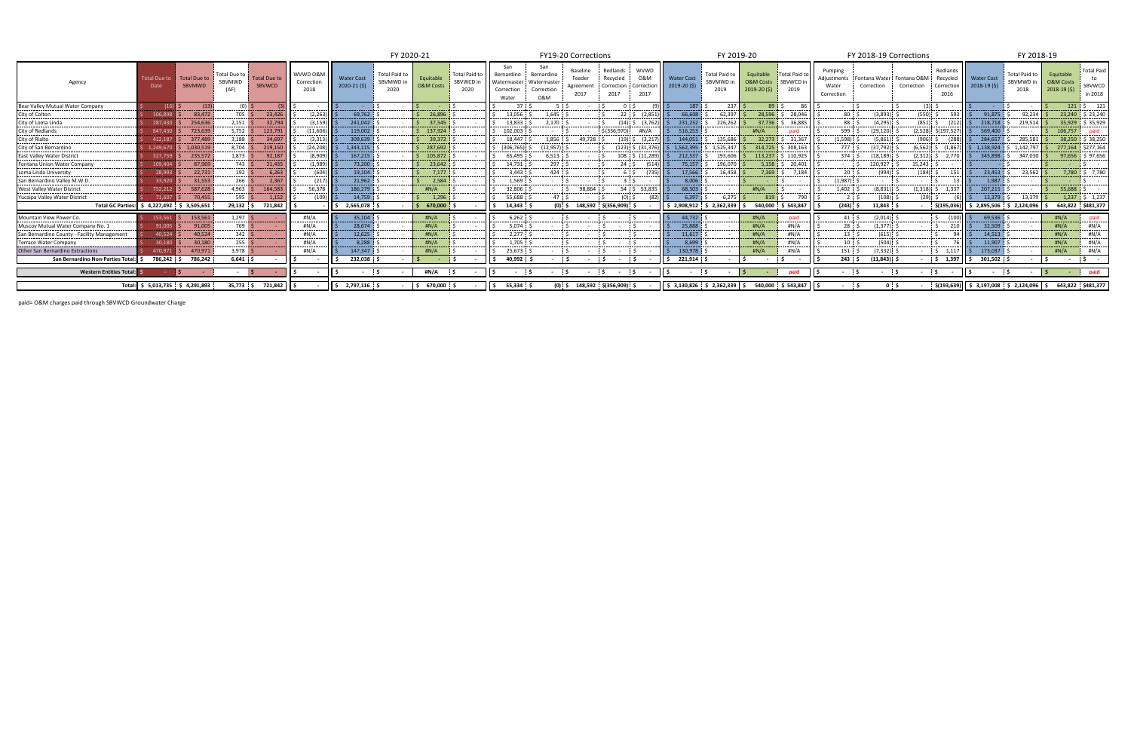|                                             |                                  |                                      |                                |                                      |                                |                                  | FY 2020-21                         |                                   |                                    |                                                  |                                                      | FY19-20 Corrections                     |                                            |                                         |                                            | FY 2019-20                      |                                     |                                           |                                               | FY 2018-19 Corrections                  |                                  |                              |                                                | FY 2018-19                                                   |                                      |                                        |
|---------------------------------------------|----------------------------------|--------------------------------------|--------------------------------|--------------------------------------|--------------------------------|----------------------------------|------------------------------------|-----------------------------------|------------------------------------|--------------------------------------------------|------------------------------------------------------|-----------------------------------------|--------------------------------------------|-----------------------------------------|--------------------------------------------|---------------------------------|-------------------------------------|-------------------------------------------|-----------------------------------------------|-----------------------------------------|----------------------------------|------------------------------|------------------------------------------------|--------------------------------------------------------------|--------------------------------------|----------------------------------------|
| Agency                                      | <b>Total Due to</b><br>Date      | <b>Total Due to</b><br><b>SBVMWD</b> | Total Due to<br>SBVMWD<br>(AF) | <b>Total Due to</b><br><b>SBVWCD</b> | WVWD 0&M<br>Correction<br>2018 | <b>Water Cost</b><br>2020-21(\$) | Total Paid to<br>SBVMWD in<br>2020 | Equitable<br><b>O&amp;M Costs</b> | Total Paid to<br>SBVWCD in<br>2020 | Bernardino<br>Watermaster<br>Correction<br>Water | San<br>Bernardino<br>Watermaste<br>Correction<br>0&M | Baseline<br>Feeder<br>Agreement<br>2017 | Redlands<br>Recycled<br>Correction<br>2017 | <b>WVWD</b><br>0&M<br>Correctio<br>2017 | <b>Water Cost</b><br>$2019-20(5)$          | Total Paid to Equitable<br>2019 | SBVMWD in O&M Costs<br>$2019-20(5)$ | <b>Total Paid to</b><br>SBVWCD in<br>2019 | Pumping<br>Adiustments<br>Water<br>Correction | Fontana Water Fontana O&M<br>Correction | Correction                       | Redlands<br>Recycled<br>2016 | <b>Nater Cost</b><br>Correction   $2018-19(5)$ | Total Paid to<br>SBVMWD in<br>2018                           | Equitable<br>O&M Costs<br>2018-19(\$ | <b>Total Paid</b><br>SBVWCD<br>in 2018 |
| Bear Valley Mutual Water Company            | (16)                             | (13)                                 | $(0)$ \$                       |                                      |                                |                                  |                                    |                                   |                                    | 37 <sup>1</sup>                                  |                                                      |                                         |                                            | 0.5                                     | 187                                        | 237 <sup>8</sup>                | 89:5                                |                                           |                                               |                                         | $(3)$ :                          |                              |                                                |                                                              | $121 \pm 5$                          | 121                                    |
| City of Colton                              | 106.89                           | 83,472                               | 705 <sup>5</sup>               | 23,426                               | (2, 263)                       | 69,762                           |                                    | 26,896                            |                                    | 13,056                                           | 1,645                                                |                                         | $22 \div 5$                                | (2.851)                                 | 66.608                                     | 62.397                          | 28,596                              | 28,046                                    | 80                                            | (3.893)                                 | $(550)$ \$                       |                              | 91,875                                         | 92.234                                                       |                                      | 23,240 \$23,240                        |
| City of Loma Lind                           |                                  | 254,636                              | $2,151$ :                      | 32,794                               | (3, 159)                       | 241,042                          |                                    | 37.545                            |                                    | 13.833                                           | 2,170                                                |                                         | $(14)$ \$                                  |                                         | 231,252                                    | 226,262                         | 37,736                              | 36.885                                    | 88 S                                          | (4,295)                                 | $(851)$ \$                       |                              | 218,718                                        | 219,514                                                      |                                      | 35.929 \$ 35.929                       |
| City of Redland                             | 847.43                           | 723,639                              | 5,752                          | 123,791                              | (11,606)                       | 119,002                          |                                    | 137,924                           |                                    | 102,003                                          |                                                      |                                         | \$ (356.970)                               | #N/A                                    | 516.253                                    |                                 | #N/A                                |                                           | 599                                           | (29.120)                                | $(2,528)$ $\frac{2}{197,527}$ \$ |                              | 569,400                                        |                                                              | 106.757                              | paid                                   |
| City of Rialto                              | 412.18                           | 377,489                              | 3,188                          | 34,697                               | (3.31)                         | 309,639                          |                                    | 39.372                            |                                    | 18.447                                           | 1.856                                                | 49.728                                  |                                            |                                         | 144.051                                    | 135,686                         | 32.273                              | 31,367                                    | (1.598)                                       | (5.861)                                 | $(906)$ \$                       |                              | 284.657                                        | 285.581                                                      |                                      | 38,250 \$ 38,250                       |
| City of San Bernardino                      | 1.249.67                         | 1,030,51                             | 8,704                          | 219,150                              | (24, 208)                      | 1,343,115                        |                                    | 287,692                           |                                    | (306, 765)                                       | (12, 957)                                            |                                         | (123) S                                    |                                         | 5 1,562,395                                | 1,525,347                       | 314,725                             | 308,163                                   | 777                                           | (37, 792)                               | $(6, 562)$ \$                    | (1.86)                       | 5 1,138,924                                    | 1,142,797                                                    |                                      | 277,164 \$277,164                      |
| East Valley Water Distric                   | 327.75                           | 235,572                              | 1,873                          | 92,187                               | (8,909)                        | 167,215                          |                                    | 105,872                           |                                    | 65,495                                           | 6,513                                                |                                         |                                            | 108 \$ (11,28)                          | 212,537                                    | 193,606                         | 113,237                             | 110,925                                   | $374 \pm 5$                                   | (18, 189)                               | $(2,312)$ \$                     | 2.77                         | 345,898                                        | 347,03                                                       |                                      | $97,656$ \$97,656                      |
| Fontana Union Water Compan                  | 109.40                           | 87,969                               | 743 <sup>5</sup>               | 21,435                               | (1.989)                        | 73,200                           |                                    | 23,642                            |                                    | 14,731                                           | 297:5                                                |                                         |                                            |                                         | 75.157                                     | 196.070                         | 5,158                               | \$20.401                                  |                                               | 120,927                                 | 15,243                           |                              |                                                |                                                              |                                      |                                        |
| oma Linda University                        | 28.99                            | 22,731                               | $192 \frac{d}{2}$              | 6,263                                |                                | 19,104                           |                                    | 7,177                             |                                    | 3,443                                            | 424                                                  |                                         |                                            |                                         | 17,566                                     | 16,458                          | 7,369                               | 7,184                                     |                                               | (994)                                   | 184)                             |                              | 23,453                                         | 23,562                                                       |                                      | 7,780 \$ 7,780                         |
| San Bernardino Valley M.W.D                 |                                  | 31,553                               | 266 <sup>°</sup>               | 2,367                                | (217)                          | 21,962                           |                                    | 2,584                             |                                    | 1,569                                            |                                                      |                                         |                                            |                                         | 8.006                                      |                                 |                                     |                                           | (1,987)                                       |                                         |                                  |                              | 1.987                                          |                                                              |                                      |                                        |
| West Valley Water District                  | 752.212                          | 587,628                              | 4,963 $\leq$                   | 164,583                              | 56,378                         | 186,279                          |                                    | #N/A                              |                                    | 32,806                                           |                                                      | 98,864                                  |                                            | 54 \$ 53.83                             | 68,503                                     |                                 | H N/A                               |                                           | 1,402                                         | (8,831)                                 | $(1,318)$ \$                     | 1.33                         | 207,215                                        |                                                              | 55.688                               |                                        |
| Yucaipa Valley Water District               | 71.607                           | 70,455                               | 595S                           | 1,152                                |                                | 14,759                           |                                    | 1.296                             |                                    | 55,688                                           |                                                      |                                         |                                            |                                         | 6.397                                      | 6.275                           | 819                                 |                                           |                                               | (108)                                   | $(29)$ 5                         |                              | 13,379                                         | 13.379                                                       |                                      | $1,237$ \$ 1,237                       |
| <b>Total GC Parties:</b>                    | $$4,227,492$ $$3,505,651$        |                                      | $29,132$ \$                    | 721,842                              |                                | 2,565,078                        |                                    | \$670,000                         |                                    | 14,343                                           |                                                      | $(0)$ , \$ 148,592 \$(356,909)          |                                            |                                         |                                            | $$2,908,912 \t$2,362,339$       |                                     | 540,000 \$ 543,847                        | $(243)$ \$                                    | 11,843                                  | \$(195,036                       |                              | $\frac{1}{2}$ , 2,895,506 \$ 2,124,096         |                                                              |                                      | 643,822 \$481,377                      |
| Mountain View Power Co.                     | 153,56                           | 153,561                              | $1,297$ \$                     |                                      | #N/A                           | 35,104                           |                                    | #N/A                              |                                    | 6,262                                            |                                                      |                                         |                                            |                                         | 44,732                                     |                                 | $\#N/A$                             |                                           |                                               | (2,014)                                 |                                  |                              | 69,536                                         |                                                              | H N/A                                |                                        |
| Muscoy Mutual Water Company No.             | 91,005                           | 91,005                               | 769 <sup>°</sup>               |                                      | #N/A                           | 28,674                           |                                    | #N/A                              |                                    | 5,074                                            |                                                      |                                         |                                            |                                         | 25,888                                     |                                 | #N/A                                | #N/A                                      | 28:5                                          | (1, 377)                                |                                  |                              | 32,509                                         |                                                              | #N/A                                 | #N/A                                   |
| San Bernardino County - Facility Management | 40.524                           | 40,524                               | 342 <sup>g</sup>               |                                      | #N/A                           | 12,625                           |                                    | H N/A                             |                                    | 2,277                                            |                                                      |                                         |                                            |                                         | 11,617                                     |                                 | #N/A                                | #N/A                                      | 13:5                                          | (615)                                   |                                  |                              | 14,513                                         |                                                              | #N/A                                 | #N/A                                   |
| Terrace Water Compan                        | 30.180                           | 30,180                               | 255 $\leq$                     |                                      | #N/A                           | 8,288                            |                                    | H N/A                             |                                    | 1.705                                            |                                                      |                                         |                                            |                                         | 8.699                                      |                                 | # $N/A$                             | #N/A                                      | $10$ $\therefore$                             | (504)                                   |                                  |                              | 11.907                                         |                                                              | #N/A                                 | #N/A                                   |
| <b>Other San Bernardino Extractions</b>     | 470.97                           | 470.971                              | 3.978                          |                                      | #N/A                           | 147,347                          |                                    | #N/A                              |                                    | 25,673                                           |                                                      |                                         |                                            |                                         | 130.978                                    |                                 | #N/A                                | #N/A                                      | $151$ $\ddot{\phantom{1}}$                    | (7, 332)                                | $\sim$ S                         | $1.117$ IS                   | 173,037                                        |                                                              | #N/A                                 | #N/A                                   |
| San Bernardino Non-Parties Total:           | 786,242                          | 786,242                              | $6,641$ \$                     |                                      |                                | 232,038                          |                                    |                                   |                                    | 40,992                                           |                                                      |                                         |                                            |                                         | 221,914                                    |                                 |                                     |                                           | $243 \quad$ \$                                | (11, 843)                               |                                  | \$ 1,397                     | 301,502                                        |                                                              |                                      |                                        |
| <b>Western Entities Total:</b>              |                                  |                                      | $\sim$                         |                                      |                                | $\sim$                           |                                    | #N/A                              |                                    | $\sim$                                           |                                                      | $\sim$                                  |                                            |                                         | $\sim$                                     |                                 |                                     | paid                                      |                                               |                                         | - 5                              |                              | $\sim$                                         |                                                              |                                      | paid                                   |
|                                             | Total: \$ 5,013,735 \$ 4,291,893 |                                      | 35,773 \$                      | 721,842                              |                                | 2,797,116 \$                     |                                    | 670,000                           |                                    | 55,334 \$<br>١s                                  | $(0)$ \$                                             |                                         | 148,592 \$(356,909) \$                     |                                         | $\frac{1}{2}$ \$ 3,130,826 \$ 2,362,339 \$ |                                 |                                     | 540,000 \$ 543,847                        |                                               |                                         | \$(193,639                       |                              |                                                | $\frac{1}{2}$ \$ 3,197,008 \$ 2,124,096 \$ 643,822 \$481,377 |                                      |                                        |

paid= O&M charges paid through SBVWCD Groundwater Charge